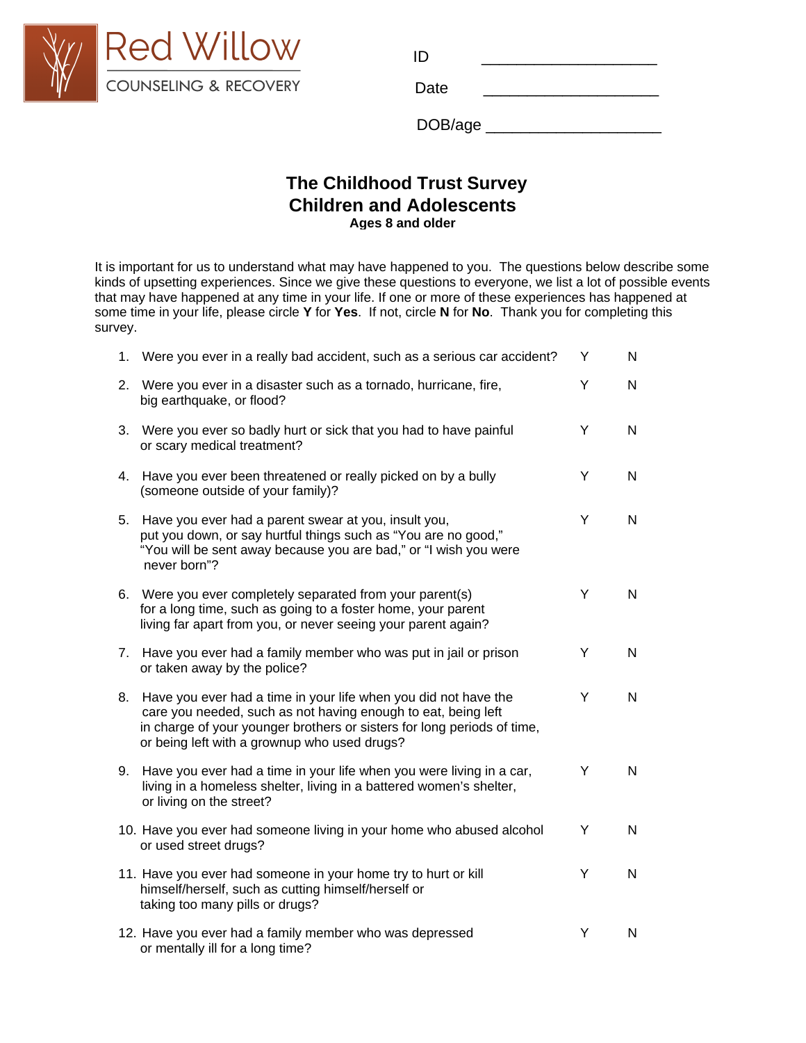

| $\blacksquare$ in the view in the view $\blacksquare$ |      |  |
|-------------------------------------------------------|------|--|
| COUNSELING & RECOVERY                                 | Date |  |

## **The Childhood Trust Events Survey The Childhood Trust SurveyChildren and Adolescents Ages 8 and older**

It is important for us to understand what may have happened to you. The questions below describe some kinds of upsetting experiences. Since we give these questions to everyone, we list a lot of possible events that may have happened at any time in your life. If one or more of these experiences has happened at some time in your life, please circle **Y** for **Yes**. If not, circle **N** for **No**. Thank you for completing this survey.

| 1. | Were you ever in a really bad accident, such as a serious car accident?                                                                                                                                                                                     | Υ | N            |
|----|-------------------------------------------------------------------------------------------------------------------------------------------------------------------------------------------------------------------------------------------------------------|---|--------------|
| 2. | Were you ever in a disaster such as a tornado, hurricane, fire,<br>big earthquake, or flood?                                                                                                                                                                | Y | $\mathsf{N}$ |
| 3. | Were you ever so badly hurt or sick that you had to have painful<br>or scary medical treatment?                                                                                                                                                             | Y | $\mathsf{N}$ |
| 4. | Have you ever been threatened or really picked on by a bully<br>(someone outside of your family)?                                                                                                                                                           | Y | N            |
| 5. | Have you ever had a parent swear at you, insult you,<br>put you down, or say hurtful things such as "You are no good,"<br>"You will be sent away because you are bad," or "I wish you were<br>never born"?                                                  | Y | N            |
|    | 6. Were you ever completely separated from your parent(s)<br>for a long time, such as going to a foster home, your parent<br>living far apart from you, or never seeing your parent again?                                                                  | Y | N            |
| 7. | Have you ever had a family member who was put in jail or prison<br>or taken away by the police?                                                                                                                                                             | Y | N            |
| 8. | Have you ever had a time in your life when you did not have the<br>care you needed, such as not having enough to eat, being left<br>in charge of your younger brothers or sisters for long periods of time,<br>or being left with a grownup who used drugs? | Y | N            |
| 9. | Have you ever had a time in your life when you were living in a car,<br>living in a homeless shelter, living in a battered women's shelter,<br>or living on the street?                                                                                     | Y | N            |
|    | 10. Have you ever had someone living in your home who abused alcohol<br>or used street drugs?                                                                                                                                                               | Y | N            |
|    | 11. Have you ever had someone in your home try to hurt or kill<br>himself/herself, such as cutting himself/herself or<br>taking too many pills or drugs?                                                                                                    | Y | N            |
|    | 12. Have you ever had a family member who was depressed<br>or mentally ill for a long time?                                                                                                                                                                 | Y | N            |